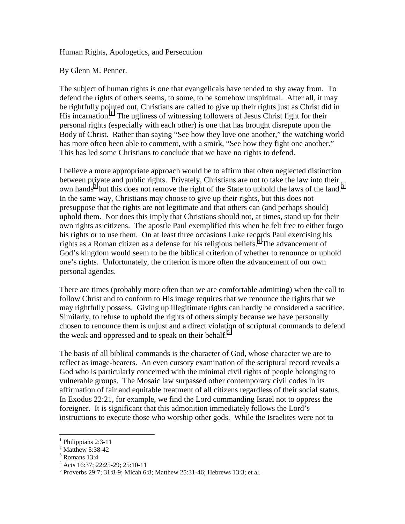Human Rights, Apologetics, and Persecution

By Glenn M. Penner.

The subject of human rights is one that evangelicals have tended to shy away from. To defend the rights of others seems, to some, to be somehow unspiritual. After all, it may be rightfully pointed out, Christians are called to give up their rights just as Christ did in His incarnation.<sup>1</sup> The ugliness of witnessing followers of Jesus Christ fight for their personal rights (especially with each other) is one that has brought disrepute upon the Body of Christ. Rather than saying "See how they love one another," the watching world has more often been able to comment, with a smirk, "See how they fight one another." This has led some Christians to conclude that we have no rights to defend.

I believe a more appropriate approach would be to affirm that often neglected distinction between private and public rights. Privately, Christians are not to take the law into their own hands<sup>2</sup> but this does not remove the right of the State to uphold the laws of the land.<sup>3</sup> In the same way, Christians may choose to give up their rights, but this does not presuppose that the rights are not legitimate and that others can (and perhaps should) uphold them. Nor does this imply that Christians should not, at times, stand up for their own rights as citizens. The apostle Paul exemplified this when he felt free to either forgo his rights or to use them. On at least three occasions Luke records Paul exercising his rights as a Roman citizen as a defense for his religious beliefs.<sup>4</sup> The advancement of God's kingdom would seem to be the biblical criterion of whether to renounce or uphold one's rights. Unfortunately, the criterion is more often the advancement of our own personal agendas.

There are times (probably more often than we are comfortable admitting) when the call to follow Christ and to conform to His image requires that we renounce the rights that we may rightfully possess. Giving up illegitimate rights can hardly be considered a sacrifice. Similarly, to refuse to uphold the rights of others simply because we have personally chosen to renounce them is unjust and a direct violation of scriptural commands to defend the weak and oppressed and to speak on their behalf.<sup>5</sup>

The basis of all biblical commands is the character of God, whose character we are to reflect as image-bearers. An even cursory examination of the scriptural record reveals a God who is particularly concerned with the minimal civil rights of people belonging to vulnerable groups. The Mosaic law surpassed other contemporary civil codes in its affirmation of fair and equitable treatment of all citizens regardless of their social status. In Exodus 22:21, for example, we find the Lord commanding Israel not to oppress the foreigner. It is significant that this admonition immediately follows the Lord's instructions to execute those who worship other gods. While the Israelites were not to

 $\overline{a}$ 

<sup>&</sup>lt;sup>1</sup> Philippians 2:3-11

<sup>&</sup>lt;sup>2</sup> Matthew 5:38-42

<sup>3</sup> Romans 13:4

<sup>4</sup> Acts 16:37; 22:25-29; 25:10-11

<sup>&</sup>lt;sup>5</sup> Proverbs 29:7; 31:8-9; Micah 6:8; Matthew 25:31-46; Hebrews 13:3; et al.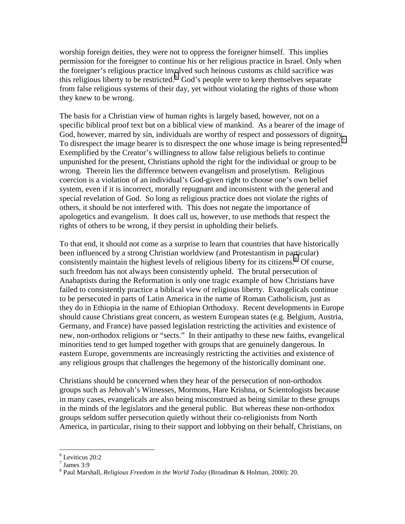worship foreign deities, they were not to oppress the foreigner himself. This implies permission for the foreigner to continue his or her religious practice in Israel. Only when the foreigner's religious practice involved such heinous customs as child sacrifice was this religious liberty to be restricted.<sup>6</sup> God's people were to keep themselves separate from false religious systems of their day, yet without violating the rights of those whom they knew to be wrong.

The basis for a Christian view of human rights is largely based, however, not on a specific biblical proof text but on a biblical view of mankind. As a bearer of the image of God, however, marred by sin, individuals are worthy of respect and possessors of dignity. To disrespect the image bearer is to disrespect the one whose image is being represented.<sup>7</sup> Exemplified by the Creator's willingness to allow false religious beliefs to continue unpunished for the present, Christians uphold the right for the individual or group to be wrong. Therein lies the difference between evangelism and proselytism. Religious coercion is a violation of an individual's God-given right to choose one's own belief system, even if it is incorrect, morally repugnant and inconsistent with the general and special revelation of God. So long as religious practice does not violate the rights of others, it should be not interfered with. This does not negate the importance of apologetics and evangelism. It does call us, however, to use methods that respect the rights of others to be wrong, if they persist in upholding their beliefs.

To that end, it should not come as a surprise to learn that countries that have historically been influenced by a strong Christian worldview (and Protestantism in particular) consistently maintain the highest levels of religious liberty for its citizens.<sup>8</sup> Of course, such freedom has not always been consistently upheld. The brutal persecution of Anabaptists during the Reformation is only one tragic example of how Christians have failed to consistently practice a biblical view of religious liberty. Evangelicals continue to be persecuted in parts of Latin America in the name of Roman Catholicism, just as they do in Ethiopia in the name of Ethiopian Orthodoxy. Recent developments in Europe should cause Christians great concern, as western European states (e.g. Belgium, Austria, Germany, and France) have passed legislation restricting the activities and existence of new, non-orthodox religions or "sects." In their antipathy to these new faiths, evangelical minorities tend to get lumped together with groups that are genuinely dangerous. In eastern Europe, governments are increasingly restricting the activities and existence of any religious groups that challenges the hegemony of the historically dominant one.

Christians should be concerned when they hear of the persecution of non-orthodox groups such as Jehovah's Witnesses, Mormons, Hare Krishna, or Scientologists because in many cases, evangelicals are also being misconstrued as being similar to these groups in the minds of the legislators and the general public. But whereas these non-orthodox groups seldom suffer persecution quietly without their co-religionists from North America, in particular, rising to their support and lobbying on their behalf, Christians, on

 $\overline{a}$ 

<sup>6</sup> Leviticus 20:2

 $7$  James 3:9

<sup>8</sup> Paul Marshall, *Religious Freedom in the World Today* (Broadman & Holman, 2000): 20.